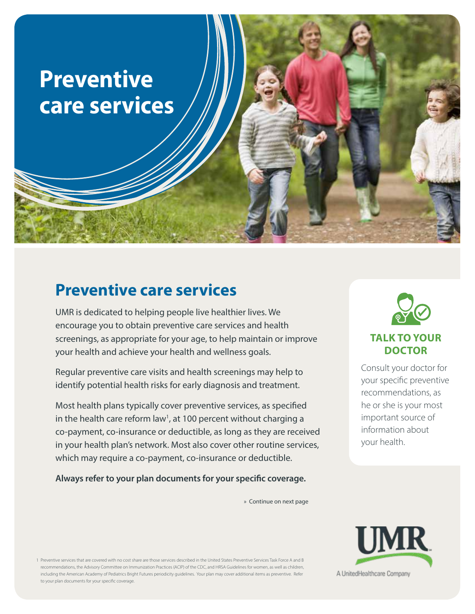

## **Preventive care services**

UMR is dedicated to helping people live healthier lives. We encourage you to obtain preventive care services and health screenings, as appropriate for your age, to help maintain or improve your health and achieve your health and wellness goals.

Regular preventive care visits and health screenings may help to identify potential health risks for early diagnosis and treatment.

Most health plans typically cover preventive services, as specified in the health care reform law<sup>1</sup>, at 100 percent without charging a co-payment, co-insurance or deductible, as long as they are received in your health plan's network. Most also cover other routine services, which may require a co-payment, co-insurance or deductible.

**Always refer to your plan documents for your specific coverage.** 

» Continue on next page



#### **TALK TO YOUR DOCTOR**

Consult your doctor for your specific preventive recommendations, as he or she is your most important source of information about your health.

1 Preventive services that are covered with no cost share are those services described in the United States Preventive Services Task Force A and B recommendations, the Advisory Committee on Immunization Practices (ACIP) of the CDC, and HRSA Guidelines for women, as well as children, including the American Academy of Pediatrics Bright Futures periodicity guidelines. Your plan may cover additional items as preventive. Refer to your plan documents for your specific coverage.

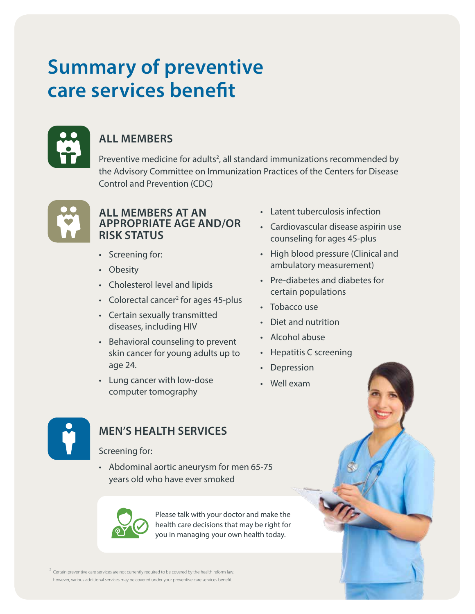# **Summary of preventive care services benefit**



## **ALL MEMBERS**

Preventive medicine for adults<sup>2</sup>, all standard immunizations recommended by the Advisory Committee on Immunization Practices of the Centers for Disease Control and Prevention (CDC)



#### **ALL MEMBERS AT AN APPROPRIATE AGE AND/OR RISK STATUS**

- Screening for:
- Obesity
- Cholesterol level and lipids
- Colorectal cancer<sup>2</sup> for ages 45-plus
- Certain sexually transmitted diseases, including HIV
- Behavioral counseling to prevent skin cancer for young adults up to age 24.
- Lung cancer with low-dose computer tomography
- Latent tuberculosis infection
- Cardiovascular disease aspirin use counseling for ages 45-plus
- High blood pressure (Clinical and ambulatory measurement)
- Pre-diabetes and diabetes for certain populations
- Tobacco use
- Diet and nutrition
- Alcohol abuse
- Hepatitis C screening
- Depression
- Well exam



## **MEN'S HEALTH SERVICES**

#### Screening for:

• Abdominal aortic aneurysm for men 65-75 years old who have ever smoked



Please talk with your doctor and make the health care decisions that may be right for you in managing your own health today.

 $2 \text{ Certain}$  preventive care services are not currently required to be covered by the health reform law; however, various additional services may be covered under your preventive care services benefit.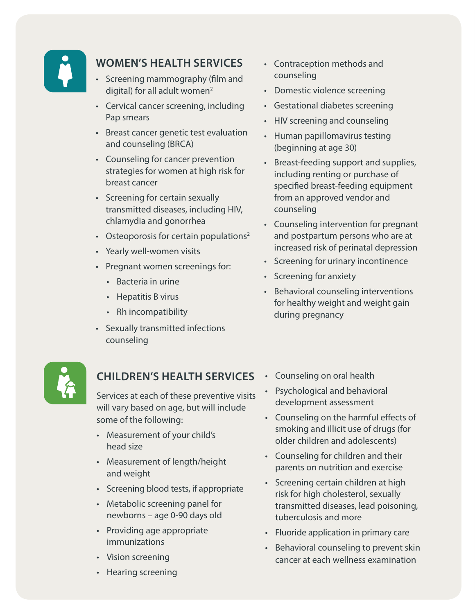

### **WOMEN'S HEALTH SERVICES**

- Screening mammography (film and digital) for all adult women<sup>2</sup>
- Cervical cancer screening, including Pap smears
- Breast cancer genetic test evaluation and counseling (BRCA)
- Counseling for cancer prevention strategies for women at high risk for breast cancer
- Screening for certain sexually transmitted diseases, including HIV, chlamydia and gonorrhea
- Osteoporosis for certain populations<sup>2</sup>
- Yearly well-women visits
- Pregnant women screenings for:
	- Bacteria in urine
	- Hepatitis B virus
	- Rh incompatibility
- Sexually transmitted infections counseling



#### **CHILDREN'S HEALTH SERVICES**

Services at each of these preventive visits will vary based on age, but will include some of the following:

- Measurement of your child's head size
- Measurement of length/height and weight
- Screening blood tests, if appropriate
- Metabolic screening panel for newborns – age 0-90 days old
- Providing age appropriate immunizations
- Vision screening
- Hearing screening
- Contraception methods and counseling
- Domestic violence screening
- Gestational diabetes screening
- HIV screening and counseling
- Human papillomavirus testing (beginning at age 30)
- Breast-feeding support and supplies, including renting or purchase of specified breast-feeding equipment from an approved vendor and counseling
- Counseling intervention for pregnant and postpartum persons who are at increased risk of perinatal depression
- Screening for urinary incontinence
- Screening for anxiety
- Behavioral counseling interventions for healthy weight and weight gain during pregnancy
- Counseling on oral health
- Psychological and behavioral development assessment
- Counseling on the harmful effects of smoking and illicit use of drugs (for older children and adolescents)
- Counseling for children and their parents on nutrition and exercise
- Screening certain children at high risk for high cholesterol, sexually transmitted diseases, lead poisoning, tuberculosis and more
- Fluoride application in primary care
- Behavioral counseling to prevent skin cancer at each wellness examination